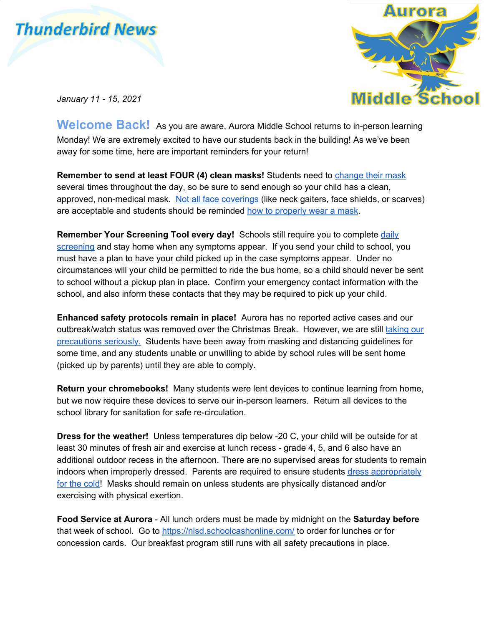



*January 11 - 15, 2021*

**Welcome Back!** As you are aware, Aurora Middle School returns to in-person learning Monday! We are extremely excited to have our students back in the building! As we've been away for some time, here are important reminders for your return!

**Remember to send at least FOUR (4) clean masks!** Students need to [change](https://www.auroramiddleschool.ca/home/news/post/masking-at-aurora) their mask several times throughout the day, so be sure to send enough so your child has a clean, approved, non-medical mask. Not all face [coverings](https://www.alberta.ca/masks.aspx#toc-4) (like neck gaiters, face shields, or scarves) are acceptable and students should be reminded how to [properly](https://open.alberta.ca/dataset/80c3fda3-7bd8-41c2-8724-c476c1b54a5b/resource/818e2afa-3d15-4932-8654-d2dcb3c85539/download/covid-19-how-to-wear-a-non-medical-mask-poster-11x17-colour.pdf) wear a mask.

**Remember Your Screening Tool every day!** Schools still require you to complete [daily](https://www.alberta.ca/assets/documents/edc-covid-19-screening-questionaire-english.pdf) [screening](https://www.alberta.ca/assets/documents/edc-covid-19-screening-questionaire-english.pdf) and stay home when any symptoms appear. If you send your child to school, you must have a plan to have your child picked up in the case symptoms appear. Under no circumstances will your child be permitted to ride the bus home, so a child should never be sent to school without a pickup plan in place. Confirm your emergency contact information with the school, and also inform these contacts that they may be required to pick up your child.

**Enhanced safety protocols remain in place!** Aurora has no reported active cases and our outbreak/watch status was removed over the Christmas Break. However, we are still [taking](https://www.auroramiddleschool.ca/download/297623) our [precautions](https://www.auroramiddleschool.ca/download/297623) seriously. Students have been away from masking and distancing guidelines for some time, and any students unable or unwilling to abide by school rules will be sent home (picked up by parents) until they are able to comply.

**Return your chromebooks!** Many students were lent devices to continue learning from home, but we now require these devices to serve our in-person learners. Return all devices to the school library for sanitation for safe re-circulation.

**Dress for the weather!** Unless temperatures dip below -20 C, your child will be outside for at least 30 minutes of fresh air and exercise at lunch recess - grade 4, 5, and 6 also have an additional outdoor recess in the afternoon. There are no supervised areas for students to remain indoors when improperly dressed. Parents are required to ensure students dress [appropriately](https://www.albertahealthservices.ca/Blogs/PFH/Posting215.aspx#.X_syv5NKjfY) for the [cold!](https://www.albertahealthservices.ca/Blogs/PFH/Posting215.aspx#.X_syv5NKjfY) Masks should remain on unless students are physically distanced and/or exercising with physical exertion.

**Food Service at Aurora** - All lunch orders must be made by midnight on the **Saturday before** that week of school. Go to <https://nlsd.schoolcashonline.com/> to order for lunches or for concession cards. Our breakfast program still runs with all safety precautions in place.